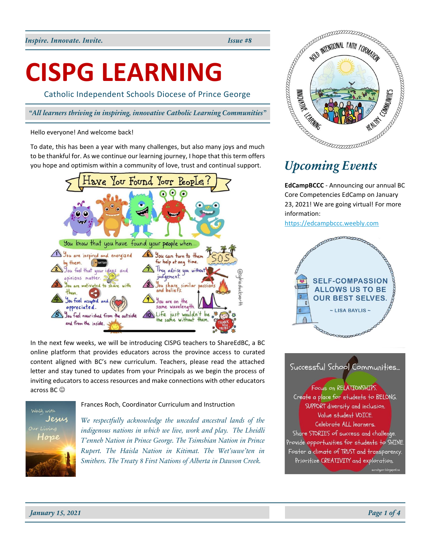# **CISPG LEARNING**

Catholic Independent Schools Diocese of Prince George

### Hello everyone! And welcome back!

To date, this has been a year with many challenges, but also many joys and much to be thankful for. As we continue our learning journey, I hope that this term offers you hope and optimism within a community of love, trust and continual support.



In the next few weeks, we will be introducing CISPG teachers to ShareEdBC, a BC online platform that provides educators across the province access to curated content aligned with BC's new curriculum. Teachers, please read the attached letter and stay tuned to updates from your Principals as we begin the process of inviting educators to access resources and make connections with other educators across BC ☺

# Walk with Jesus Our Living Hope

Frances Roch, Coordinator Curriculum and Instruction

*We respectfully acknowledge the unceded ancestral lands of the indigenous nations in which we live, work and play. The Lheidli T'enneh Nation in Prince George. The Tsimshian Nation in Prince Rupert. The Haisla Nation in Kitimat. The Wet'suwe'ten in Smithers. The Treaty 8 First Nations of Alberta in Dawson Creek.*



**EdCampBCCC** - Announcing our annual BC Core Competencies EdCamp on January 23, 2021! We are going virtual! For more information:

[https://edcampbccc.weebly.com](https://edcampbccc.weebly.com/)



# Successful School Communities...

Focus on RELATIONSHIPS. Create a place for students to BELONG. SUPPORT diversity and inclusion. Value student VOICE. Celebrate ALL learners. Share STORIES of success and challenge. Provide opportunities for students to SHINE. Foster a climate of TRUST and transparency. Prioritize CREATIVITY and exploration.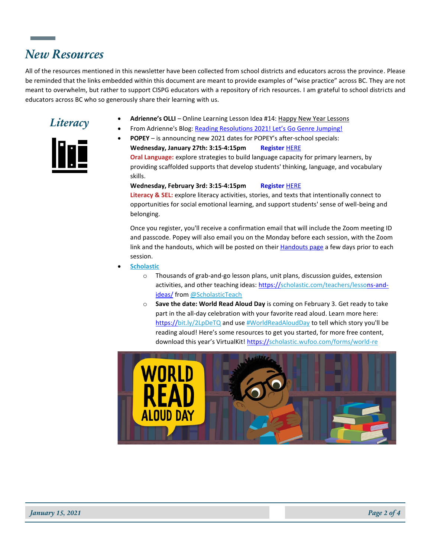# *New Resources*

All of the resources mentioned in this newsletter have been collected from school districts and educators across the province. Please be reminded that the links embedded within this document are meant to provide examples of "wise practice" across BC. They are not meant to overwhelm, but rather to support CISPG educators with a repository of rich resources. I am grateful to school districts and educators across BC who so generously share their learning with us.



<u>lini</u>

- *Literacy* **Adrienne's OLLI** Online Learning Lesson Idea #14[: Happy New Year Lessons](https://readingpowergear.wordpress.com/2021/01/03/adriennes-olli-online-learning-lesson-idea-14-happy-new-year-lessons/)<br>
From Adriental Plan Backline Resolutions 2004 Late Co Canadians also
	- From Adrienne's Blog: [Reading Resolutions 2021! Let's Go Genre](https://t.co/1h3HyxARCu?amp=1) Jumping!

• **POPEY** – is announcing new 2021 dates for POPEY's after-school specials: **Wednesday, January 27th: 3:15-4:15pm Register** [HERE](https://popey.us8.list-manage.com/track/click?u=fa505b4bfc2ad036d21f13a73&id=433d60a41f&e=6b11308f8f) **Oral Language:** explore strategies to build language capacity for primary learners, by providing scaffolded supports that develop students' thinking, language, and vocabulary skills.

### **Wednesday, February 3rd: 3:15-4:15pm Register** [HERE](https://popey.us8.list-manage.com/track/click?u=fa505b4bfc2ad036d21f13a73&id=4338a82b3b&e=6b11308f8f)

**Literacy & SEL:** explore literacy activities, stories, and texts that intentionally connect to opportunities for social emotional learning, and support students' sense of well-being and belonging.

Once you register, you'll receive a confirmation email that will include the Zoom meeting ID and passcode. Popey will also email you on the Monday before each session, with the Zoom link and the handouts, which will be posted on their **Handouts page a few days prior to each** session.

- **[Scholastic](https://twitter.com/Scholastic)**
	- $\circ$  Thousands of grab-and-go lesson plans, unit plans, discussion guides, extension activities, and other teaching ideas: [https://scholastic.com/teachers/lessons-and](https://t.co/A38alZH4oT?amp=1)[ideas/](https://t.co/A38alZH4oT?amp=1) fro[m @ScholasticTeach](https://twitter.com/ScholasticTeach)
	- o **Save the date: World Read Aloud Day** is coming on February 3. Get ready to take part in the all-day celebration with your favorite read aloud. Learn more here: [https://bit.ly/2LpDeTQ](https://t.co/tGGLmeGooS?amp=1) and us[e #WorldReadAloudDay](https://twitter.com/hashtag/WorldReadAloudDay?src=hashtag_click) to tell which story you'll be reading aloud! Here's some resources to get you started, for more free content, download this year's VirtualKit! [https://scholastic.wufoo.com/forms/world-re](https://t.co/1mBRcCPSFd?amp=1)

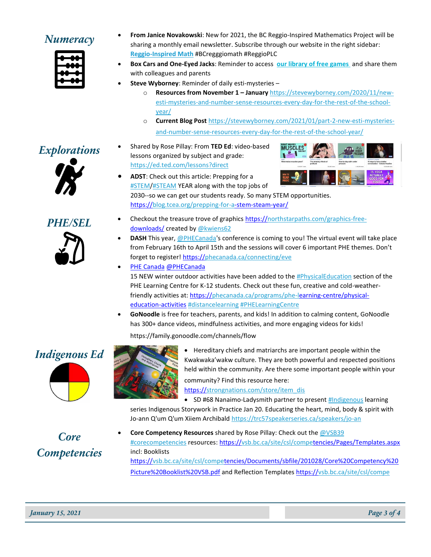

- **Numeracy From Janice Novakowski**: New for 2021, the BC Reggio-Inspired Mathematics Project will be sharing a monthly email newsletter. Subscribe through our website in the right sidebar: **[Reggio-Inspired Math](https://janicenovkam.typepad.com/reggioinspired_mathematic/)** #BCregggiomath #ReggioPLC
	- **Box Cars and One-Eyed Jacks**: Reminder to access **[our library of free games](http://r20.rs6.net/tn.jsp?f=001WP-cp2wNO0bXxtlz0ovk3XGxd4XTmrO4oROdDxbgHSy38F2_NuPFTk3zdFvqdp5qboHPju1IRU_430_Lf6UhTxNNNkkUd-8Uv3-1t3bUIXAy2sHpdBPWBHkncHTxcFCxNAvm926ZgVUsxE2hbfSUF1gTLwLpa6dZy14MY6luWiDssu6EK_du0LMcvyxX1t1cOUQUNrIKEQZy_IK3Z1X-7ZoVUoxV2RSX&c=IuhbTRxEHEjl5XcIoUZXUn9VXZun6P91bhiWWKelN-8z_wN-cxgr_A==&ch=X1zKaTY-g3cNjsc28l0wyyXs9eYMmhAsrvXI_-5oH1rnHnlMU3YYRg==)** and share them with colleagues and parents
	- **Steve Wyborney**: Reminder of daily esti-mysteries
		- o **Resources from November 1 – January** [https://stevewyborney.com/2020/11/new](https://click.convertkit-mail.com/68uv98ddomb8hrnv88ho/9qhzhnhg6lxemeh9/aHR0cHM6Ly9zdGV2ZXd5Ym9ybmV5LmNvbS8yMDIwLzExL25ldy1lc3RpLW15c3Rlcmllcy1hbmQtbnVtYmVyLXNlbnNlLXJlc291cmNlcy1ldmVyeS1kYXktZm9yLXRoZS1yZXN0LW9mLXRoZS1zY2hvb2wteWVhci8=)[esti-mysteries-and-number-sense-resources-every-day-for-the-rest-of-the-school](https://click.convertkit-mail.com/68uv98ddomb8hrnv88ho/9qhzhnhg6lxemeh9/aHR0cHM6Ly9zdGV2ZXd5Ym9ybmV5LmNvbS8yMDIwLzExL25ldy1lc3RpLW15c3Rlcmllcy1hbmQtbnVtYmVyLXNlbnNlLXJlc291cmNlcy1ldmVyeS1kYXktZm9yLXRoZS1yZXN0LW9mLXRoZS1zY2hvb2wteWVhci8=)[year/](https://click.convertkit-mail.com/68uv98ddomb8hrnv88ho/9qhzhnhg6lxemeh9/aHR0cHM6Ly9zdGV2ZXd5Ym9ybmV5LmNvbS8yMDIwLzExL25ldy1lc3RpLW15c3Rlcmllcy1hbmQtbnVtYmVyLXNlbnNlLXJlc291cmNlcy1ldmVyeS1kYXktZm9yLXRoZS1yZXN0LW9mLXRoZS1zY2hvb2wteWVhci8=)
		- o **Current Blog Post** [https://stevewyborney.com/2021/01/part-2-new-esti-mysteries](https://click.convertkit-mail.com/68uv98ddomb8hrnv88ho/g3hnh5helkn05qcr/aHR0cHM6Ly9zdGV2ZXd5Ym9ybmV5LmNvbS8yMDIxLzAxL3BhcnQtMi1uZXctZXN0aS1teXN0ZXJpZXMtYW5kLW51bWJlci1zZW5zZS1yZXNvdXJjZXMtZXZlcnktZGF5LWZvci10aGUtcmVzdC1vZi10aGUtc2Nob29sLXllYXIv)[and-number-sense-resources-every-day-for-the-rest-of-the-school-year/](https://click.convertkit-mail.com/68uv98ddomb8hrnv88ho/g3hnh5helkn05qcr/aHR0cHM6Ly9zdGV2ZXd5Ym9ybmV5LmNvbS8yMDIxLzAxL3BhcnQtMi1uZXctZXN0aS1teXN0ZXJpZXMtYW5kLW51bWJlci1zZW5zZS1yZXNvdXJjZXMtZXZlcnktZGF5LWZvci10aGUtcmVzdC1vZi10aGUtc2Nob29sLXllYXIv)





*Explorations* • Shared by Rose Pillay: From **TED Ed**: video-based lessons organized by subject and grade: <https://ed.ted.com/lessons?direct>



• **ADST**: Check out this article: Prepping for a **[#STEM/](https://twitter.com/hashtag/STEM?src=hashtag_click)[#STEAM](https://twitter.com/hashtag/STEAM?src=hashtag_click) YEAR along with the top jobs of** 

2030--so we can get our students ready. So many STEM opportunities. [https://blog.tcea.org/prepping-for-a-stem-steam-year/](https://t.co/hArgaem0jJ?amp=1)

- **PHE/SEL** Checkout the treasure trove of graphic[s https://northstarpaths.com/graphics-free](https://t.co/eaOsMuTNX0?amp=1)[downloads/](https://t.co/eaOsMuTNX0?amp=1) created by [@kwiens62](https://twitter.com/kwiens62)
	- **[DASH](https://dashbc.ca/)** This year, [@PHECanada's](https://twitter.com/PHECanada) conference is coming to you! The virtual event will take place from February 16th to April 15th and the sessions will cover 6 important PHE themes. Don't forget to register! [https://phecanada.ca/connecting/eve](https://t.co/Rn225MU5hb?amp=1)
	- PHE Canada [@PHECanada](https://phecanada.ca/) 15 NEW winter outdoor activities have been added to th[e #PhysicalEducation](https://twitter.com/hashtag/PhysicalEducation?src=hashtag_click) section of the PHE Learning Centre for K-12 students. Check out these fun, creative and cold-weatherfriendly activities at: [https://phecanada.ca/programs/phe-learning-centre/physical](https://t.co/QeeImy0BCe?amp=1)[education-activities](https://t.co/QeeImy0BCe?amp=1) [#distancelearning](https://twitter.com/hashtag/distancelearning?src=hashtag_click) [#PHELearningCentre](https://twitter.com/hashtag/PHELearningCentre?src=hashtag_click)
	- **GoNoodle** is free for teachers, parents, and kids! In addition to calming content, GoNoodle has 300+ dance videos, mindfulness activities, and more engaging videos for kids!

https://family.gonoodle.com/channels/flow



*Core* 

*Competencies*



**Indigenous Ed • Hereditary chiefs and matriarchs are important people within the** Kwakwaka'wakw culture. They are both powerful and respected positions held within the community. Are there some important people within your community? Find this resource here:

[https://strongnations.com/store/item\\_dis](https://t.co/j0CA96z21W?amp=1)

• SD #68 Nanaimo-Ladysmith partner to present **#Indigenous** learning series Indigenous Storywork in Practice Jan 20. Educating the heart, mind, body & spirit with Jo-ann Q'um Q'um Xiiem Archibald <https://trc57speakerseries.ca/speakers/jo-an>

Core Competency Resources shared by Rose Pillay: Check out th[e @VSB39](https://twitter.com/VSB39) #corecompetencies resources: [https://vsb.bc.ca/site/csl/competencies/Pages/Templates.aspx](https://t.co/cHOFiCqizS?amp=1) incl: Booklists [https://vsb.bc.ca/site/csl/competencies/Documents/sbfile/201028/Core%20Competency%20](https://t.co/HAz8SstOJK?amp=1) [Picture%20Booklist%20VSB.pdf](https://t.co/HAz8SstOJK?amp=1) and Reflection Templates [https://vsb.bc.ca/site/csl/compe](https://t.co/tlia2smf7j?amp=1)

*January 15, 2021 Page 3 of 4*